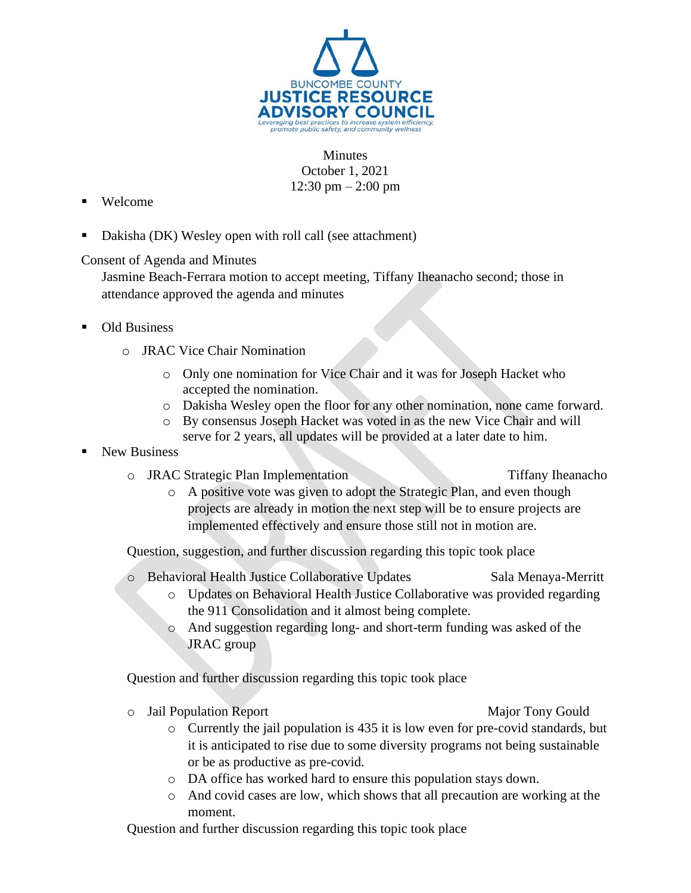

**Minutes** October 1, 2021 12:30 pm  $- 2:00$  pm

- Welcome
- Dakisha (DK) Wesley open with roll call (see attachment)

Consent of Agenda and Minutes

Jasmine Beach-Ferrara motion to accept meeting, Tiffany Iheanacho second; those in attendance approved the agenda and minutes

- **Old Business** 
	- o JRAC Vice Chair Nomination
		- o Only one nomination for Vice Chair and it was for Joseph Hacket who accepted the nomination.
		- o Dakisha Wesley open the floor for any other nomination, none came forward.
		- o By consensus Joseph Hacket was voted in as the new Vice Chair and will serve for 2 years, all updates will be provided at a later date to him.
- **New Business** 
	- o JRAC Strategic Plan Implementation Tiffany Iheanacho
		- o A positive vote was given to adopt the Strategic Plan, and even though projects are already in motion the next step will be to ensure projects are implemented effectively and ensure those still not in motion are.

Question, suggestion, and further discussion regarding this topic took place

- o Behavioral Health Justice Collaborative Updates Sala Menaya-Merritt
	- o Updates on Behavioral Health Justice Collaborative was provided regarding the 911 Consolidation and it almost being complete.
	- o And suggestion regarding long- and short-term funding was asked of the JRAC group

Question and further discussion regarding this topic took place

- o Jail Population Report Major Tony Gould
	- $\circ$  Currently the jail population is 435 it is low even for pre-covid standards, but it is anticipated to rise due to some diversity programs not being sustainable or be as productive as pre-covid.
	- o DA office has worked hard to ensure this population stays down.
	- o And covid cases are low, which shows that all precaution are working at the moment.

Question and further discussion regarding this topic took place